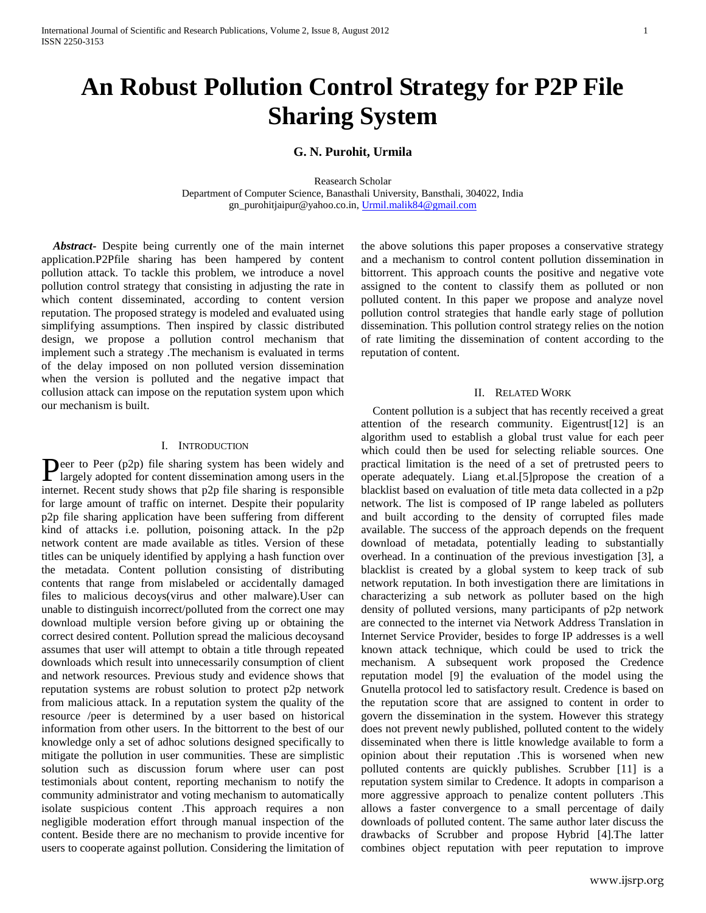# **An Robust Pollution Control Strategy for P2P File Sharing System**

# **G. N. Purohit, Urmila**

Reasearch Scholar Department of Computer Science, Banasthali University, Bansthali, 304022, India gn\_purohitjaipur@yahoo.co.in, [Urmil.malik84@gmail.com](mailto:Urmil.malik84@gmail.com)

 *Abstract***-** Despite being currently one of the main internet application.P2Pfile sharing has been hampered by content pollution attack. To tackle this problem, we introduce a novel pollution control strategy that consisting in adjusting the rate in which content disseminated, according to content version reputation. The proposed strategy is modeled and evaluated using simplifying assumptions. Then inspired by classic distributed design, we propose a pollution control mechanism that implement such a strategy .The mechanism is evaluated in terms of the delay imposed on non polluted version dissemination when the version is polluted and the negative impact that collusion attack can impose on the reputation system upon which our mechanism is built.

# I. INTRODUCTION

eer to Peer (p2p) file sharing system has been widely and **Deer** to Peer (p2p) file sharing system has been widely and largely adopted for content dissemination among users in the internet. Recent study shows that p2p file sharing is responsible for large amount of traffic on internet. Despite their popularity p2p file sharing application have been suffering from different kind of attacks i.e. pollution, poisoning attack. In the p2p network content are made available as titles. Version of these titles can be uniquely identified by applying a hash function over the metadata. Content pollution consisting of distributing contents that range from mislabeled or accidentally damaged files to malicious decoys(virus and other malware).User can unable to distinguish incorrect/polluted from the correct one may download multiple version before giving up or obtaining the correct desired content. Pollution spread the malicious decoysand assumes that user will attempt to obtain a title through repeated downloads which result into unnecessarily consumption of client and network resources. Previous study and evidence shows that reputation systems are robust solution to protect p2p network from malicious attack. In a reputation system the quality of the resource /peer is determined by a user based on historical information from other users. In the bittorrent to the best of our knowledge only a set of adhoc solutions designed specifically to mitigate the pollution in user communities. These are simplistic solution such as discussion forum where user can post testimonials about content, reporting mechanism to notify the community administrator and voting mechanism to automatically isolate suspicious content .This approach requires a non negligible moderation effort through manual inspection of the content. Beside there are no mechanism to provide incentive for users to cooperate against pollution. Considering the limitation of

the above solutions this paper proposes a conservative strategy and a mechanism to control content pollution dissemination in bittorrent. This approach counts the positive and negative vote assigned to the content to classify them as polluted or non polluted content. In this paper we propose and analyze novel pollution control strategies that handle early stage of pollution dissemination. This pollution control strategy relies on the notion of rate limiting the dissemination of content according to the reputation of content.

#### II. RELATED WORK

 Content pollution is a subject that has recently received a great attention of the research community. Eigentrust[12] is an algorithm used to establish a global trust value for each peer which could then be used for selecting reliable sources. One practical limitation is the need of a set of pretrusted peers to operate adequately. Liang et.al.[5]propose the creation of a blacklist based on evaluation of title meta data collected in a p2p network. The list is composed of IP range labeled as polluters and built according to the density of corrupted files made available. The success of the approach depends on the frequent download of metadata, potentially leading to substantially overhead. In a continuation of the previous investigation [3], a blacklist is created by a global system to keep track of sub network reputation. In both investigation there are limitations in characterizing a sub network as polluter based on the high density of polluted versions, many participants of p2p network are connected to the internet via Network Address Translation in Internet Service Provider, besides to forge IP addresses is a well known attack technique, which could be used to trick the mechanism. A subsequent work proposed the Credence reputation model [9] the evaluation of the model using the Gnutella protocol led to satisfactory result. Credence is based on the reputation score that are assigned to content in order to govern the dissemination in the system. However this strategy does not prevent newly published, polluted content to the widely disseminated when there is little knowledge available to form a opinion about their reputation .This is worsened when new polluted contents are quickly publishes. Scrubber [11] is a reputation system similar to Credence. It adopts in comparison a more aggressive approach to penalize content polluters .This allows a faster convergence to a small percentage of daily downloads of polluted content. The same author later discuss the drawbacks of Scrubber and propose Hybrid [4].The latter combines object reputation with peer reputation to improve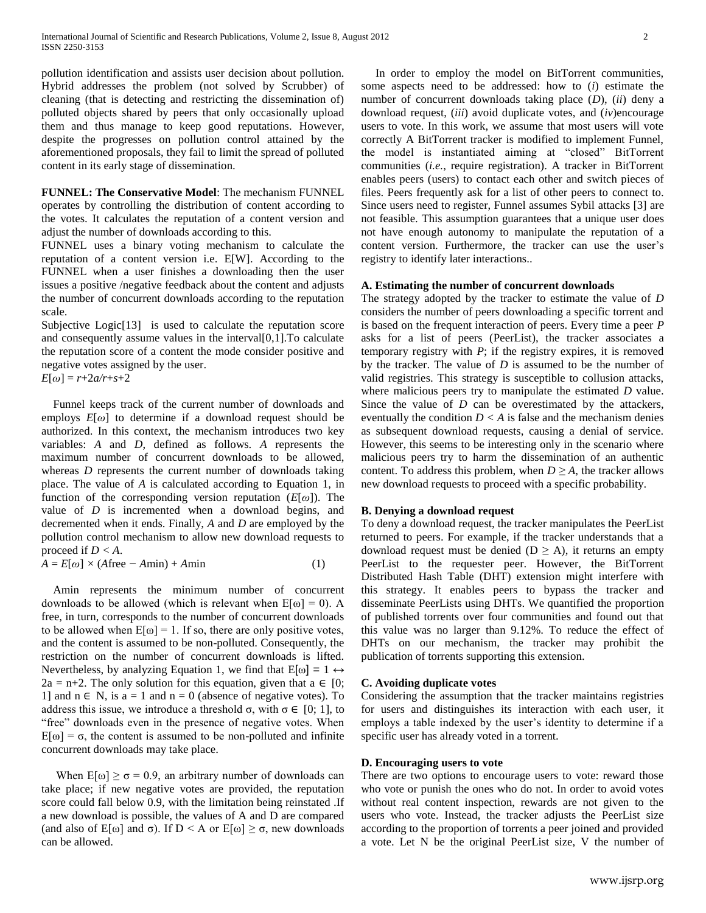pollution identification and assists user decision about pollution. Hybrid addresses the problem (not solved by Scrubber) of cleaning (that is detecting and restricting the dissemination of) polluted objects shared by peers that only occasionally upload them and thus manage to keep good reputations. However, despite the progresses on pollution control attained by the aforementioned proposals, they fail to limit the spread of polluted content in its early stage of dissemination.

**FUNNEL: The Conservative Model**: The mechanism FUNNEL operates by controlling the distribution of content according to the votes. It calculates the reputation of a content version and adjust the number of downloads according to this.

FUNNEL uses a binary voting mechanism to calculate the reputation of a content version i.e. E[W]. According to the FUNNEL when a user finishes a downloading then the user issues a positive /negative feedback about the content and adjusts the number of concurrent downloads according to the reputation scale.

Subjective Logic<sup>[13]</sup> is used to calculate the reputation score and consequently assume values in the interval[0,1].To calculate the reputation score of a content the mode consider positive and negative votes assigned by the user.

 $E[\omega] = r + 2a/r + s + 2$ 

 Funnel keeps track of the current number of downloads and employs *E*[*ω*] to determine if a download request should be authorized. In this context, the mechanism introduces two key variables: *A* and *D*, defined as follows. *A* represents the maximum number of concurrent downloads to be allowed, whereas *D* represents the current number of downloads taking place. The value of *A* is calculated according to Equation 1, in function of the corresponding version reputation (*E*[*ω*]). The value of *D* is incremented when a download begins, and decremented when it ends. Finally, *A* and *D* are employed by the pollution control mechanism to allow new download requests to proceed if *D < A*.

 $A = E[\omega] \times (A \text{free} - A \text{min}) + A \text{min}$  (1)

 Amin represents the minimum number of concurrent downloads to be allowed (which is relevant when  $E[\omega] = 0$ ). A free, in turn, corresponds to the number of concurrent downloads to be allowed when  $E[\omega] = 1$ . If so, there are only positive votes, and the content is assumed to be non-polluted. Consequently, the restriction on the number of concurrent downloads is lifted. Nevertheless, by analyzing Equation 1, we find that  $E[\omega] = 1 \leftrightarrow$  $2a = n+2$ . The only solution for this equation, given that  $a \in [0;$ 1] and  $n \in N$ , is  $a = 1$  and  $n = 0$  (absence of negative votes). To address this issue, we introduce a threshold  $\sigma$ , with  $\sigma \in [0; 1]$ , to "free" downloads even in the presence of negative votes. When  $E[\omega] = \sigma$ , the content is assumed to be non-polluted and infinite concurrent downloads may take place.

When  $E[\omega] \ge \sigma = 0.9$ , an arbitrary number of downloads can take place; if new negative votes are provided, the reputation score could fall below 0.9, with the limitation being reinstated .If a new download is possible, the values of A and D are compared (and also of  $E[\omega]$  and  $\sigma$ ). If  $D \leq A$  or  $E[\omega] \geq \sigma$ , new downloads can be allowed.

 In order to employ the model on BitTorrent communities, some aspects need to be addressed: how to (*i*) estimate the number of concurrent downloads taking place (*D*), (*ii*) deny a download request, (*iii*) avoid duplicate votes, and (*iv*)encourage users to vote. In this work, we assume that most users will vote correctly A BitTorrent tracker is modified to implement Funnel, the model is instantiated aiming at "closed" BitTorrent communities (*i.e.*, require registration). A tracker in BitTorrent enables peers (users) to contact each other and switch pieces of files. Peers frequently ask for a list of other peers to connect to. Since users need to register, Funnel assumes Sybil attacks [3] are not feasible. This assumption guarantees that a unique user does not have enough autonomy to manipulate the reputation of a content version. Furthermore, the tracker can use the user"s registry to identify later interactions..

### **A. Estimating the number of concurrent downloads**

The strategy adopted by the tracker to estimate the value of *D*  considers the number of peers downloading a specific torrent and is based on the frequent interaction of peers. Every time a peer *P*  asks for a list of peers (PeerList), the tracker associates a temporary registry with *P*; if the registry expires, it is removed by the tracker. The value of *D* is assumed to be the number of valid registries. This strategy is susceptible to collusion attacks, where malicious peers try to manipulate the estimated *D* value. Since the value of *D* can be overestimated by the attackers, eventually the condition  $D < A$  is false and the mechanism denies as subsequent download requests, causing a denial of service. However, this seems to be interesting only in the scenario where malicious peers try to harm the dissemination of an authentic content. To address this problem, when  $D \geq A$ , the tracker allows new download requests to proceed with a specific probability.

#### **B. Denying a download request**

To deny a download request, the tracker manipulates the PeerList returned to peers. For example, if the tracker understands that a download request must be denied ( $D \geq A$ ), it returns an empty PeerList to the requester peer. However, the BitTorrent Distributed Hash Table (DHT) extension might interfere with this strategy. It enables peers to bypass the tracker and disseminate PeerLists using DHTs. We quantified the proportion of published torrents over four communities and found out that this value was no larger than 9.12%. To reduce the effect of DHTs on our mechanism, the tracker may prohibit the publication of torrents supporting this extension.

## **C. Avoiding duplicate votes**

Considering the assumption that the tracker maintains registries for users and distinguishes its interaction with each user, it employs a table indexed by the user"s identity to determine if a specific user has already voted in a torrent.

### **D. Encouraging users to vote**

There are two options to encourage users to vote: reward those who vote or punish the ones who do not. In order to avoid votes without real content inspection, rewards are not given to the users who vote. Instead, the tracker adjusts the PeerList size according to the proportion of torrents a peer joined and provided a vote. Let N be the original PeerList size, V the number of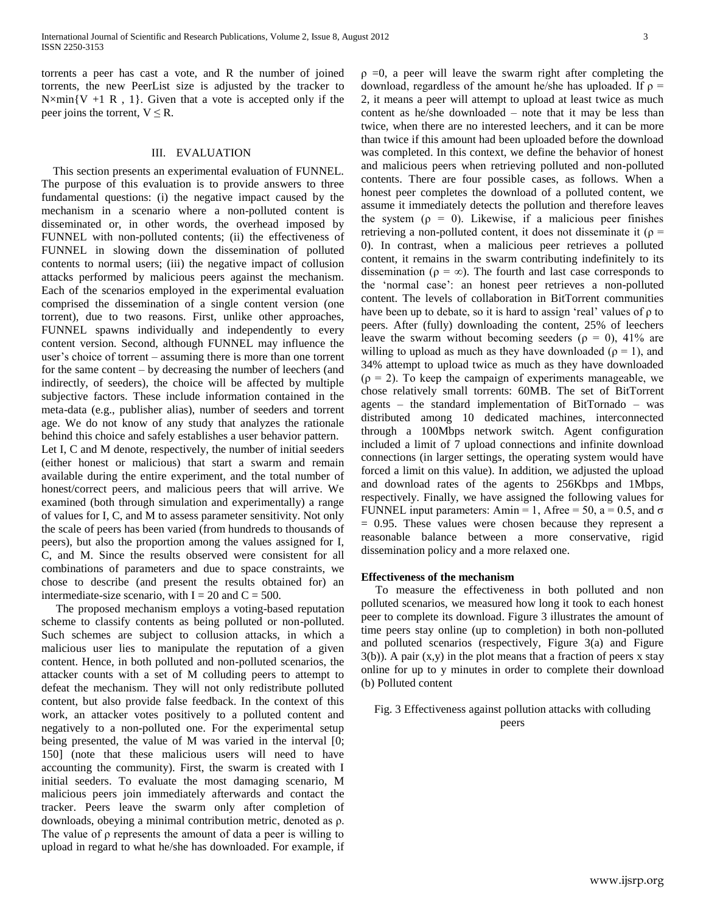torrents a peer has cast a vote, and R the number of joined torrents, the new PeerList size is adjusted by the tracker to  $N \times min\{V + 1 R, 1\}$ . Given that a vote is accepted only if the peer joins the torrent,  $V \le R$ .

#### III. EVALUATION

 This section presents an experimental evaluation of FUNNEL. The purpose of this evaluation is to provide answers to three fundamental questions: (i) the negative impact caused by the mechanism in a scenario where a non-polluted content is disseminated or, in other words, the overhead imposed by FUNNEL with non-polluted contents; (ii) the effectiveness of FUNNEL in slowing down the dissemination of polluted contents to normal users; (iii) the negative impact of collusion attacks performed by malicious peers against the mechanism. Each of the scenarios employed in the experimental evaluation comprised the dissemination of a single content version (one torrent), due to two reasons. First, unlike other approaches, FUNNEL spawns individually and independently to every content version. Second, although FUNNEL may influence the user's choice of torrent – assuming there is more than one torrent for the same content – by decreasing the number of leechers (and indirectly, of seeders), the choice will be affected by multiple subjective factors. These include information contained in the meta-data (e.g., publisher alias), number of seeders and torrent age. We do not know of any study that analyzes the rationale behind this choice and safely establishes a user behavior pattern.

Let I, C and M denote, respectively, the number of initial seeders (either honest or malicious) that start a swarm and remain available during the entire experiment, and the total number of honest/correct peers, and malicious peers that will arrive. We examined (both through simulation and experimentally) a range of values for I, C, and M to assess parameter sensitivity. Not only the scale of peers has been varied (from hundreds to thousands of peers), but also the proportion among the values assigned for I, C, and M. Since the results observed were consistent for all combinations of parameters and due to space constraints, we chose to describe (and present the results obtained for) an intermediate-size scenario, with  $I = 20$  and  $C = 500$ .

 The proposed mechanism employs a voting-based reputation scheme to classify contents as being polluted or non-polluted. Such schemes are subject to collusion attacks, in which a malicious user lies to manipulate the reputation of a given content. Hence, in both polluted and non-polluted scenarios, the attacker counts with a set of M colluding peers to attempt to defeat the mechanism. They will not only redistribute polluted content, but also provide false feedback. In the context of this work, an attacker votes positively to a polluted content and negatively to a non-polluted one. For the experimental setup being presented, the value of M was varied in the interval [0; 150] (note that these malicious users will need to have accounting the community). First, the swarm is created with I initial seeders. To evaluate the most damaging scenario, M malicious peers join immediately afterwards and contact the tracker. Peers leave the swarm only after completion of downloads, obeying a minimal contribution metric, denoted as ρ. The value of ρ represents the amount of data a peer is willing to upload in regard to what he/she has downloaded. For example, if  $\rho = 0$ , a peer will leave the swarm right after completing the download, regardless of the amount he/she has uploaded. If  $\rho =$ 2, it means a peer will attempt to upload at least twice as much content as he/she downloaded – note that it may be less than twice, when there are no interested leechers, and it can be more than twice if this amount had been uploaded before the download was completed. In this context, we define the behavior of honest and malicious peers when retrieving polluted and non-polluted contents. There are four possible cases, as follows. When a honest peer completes the download of a polluted content, we assume it immediately detects the pollution and therefore leaves the system ( $\rho = 0$ ). Likewise, if a malicious peer finishes retrieving a non-polluted content, it does not disseminate it ( $\rho$  = 0). In contrast, when a malicious peer retrieves a polluted content, it remains in the swarm contributing indefinitely to its dissemination ( $\rho = \infty$ ). The fourth and last case corresponds to the "normal case": an honest peer retrieves a non-polluted content. The levels of collaboration in BitTorrent communities have been up to debate, so it is hard to assign 'real' values of  $\rho$  to peers. After (fully) downloading the content, 25% of leechers leave the swarm without becoming seeders ( $\rho = 0$ ), 41% are willing to upload as much as they have downloaded ( $\rho = 1$ ), and 34% attempt to upload twice as much as they have downloaded  $(p = 2)$ . To keep the campaign of experiments manageable, we chose relatively small torrents: 60MB. The set of BitTorrent agents – the standard implementation of BitTornado – was distributed among 10 dedicated machines, interconnected through a 100Mbps network switch. Agent configuration included a limit of 7 upload connections and infinite download connections (in larger settings, the operating system would have forced a limit on this value). In addition, we adjusted the upload and download rates of the agents to 256Kbps and 1Mbps, respectively. Finally, we have assigned the following values for FUNNEL input parameters: Amin = 1, Afree = 50, a = 0.5, and  $\sigma$ = 0.95. These values were chosen because they represent a reasonable balance between a more conservative, rigid dissemination policy and a more relaxed one.

### **Effectiveness of the mechanism**

 To measure the effectiveness in both polluted and non polluted scenarios, we measured how long it took to each honest peer to complete its download. Figure 3 illustrates the amount of time peers stay online (up to completion) in both non-polluted and polluted scenarios (respectively, Figure 3(a) and Figure  $3(b)$ ). A pair  $(x,y)$  in the plot means that a fraction of peers x stay online for up to y minutes in order to complete their download (b) Polluted content

# Fig. 3 Effectiveness against pollution attacks with colluding peers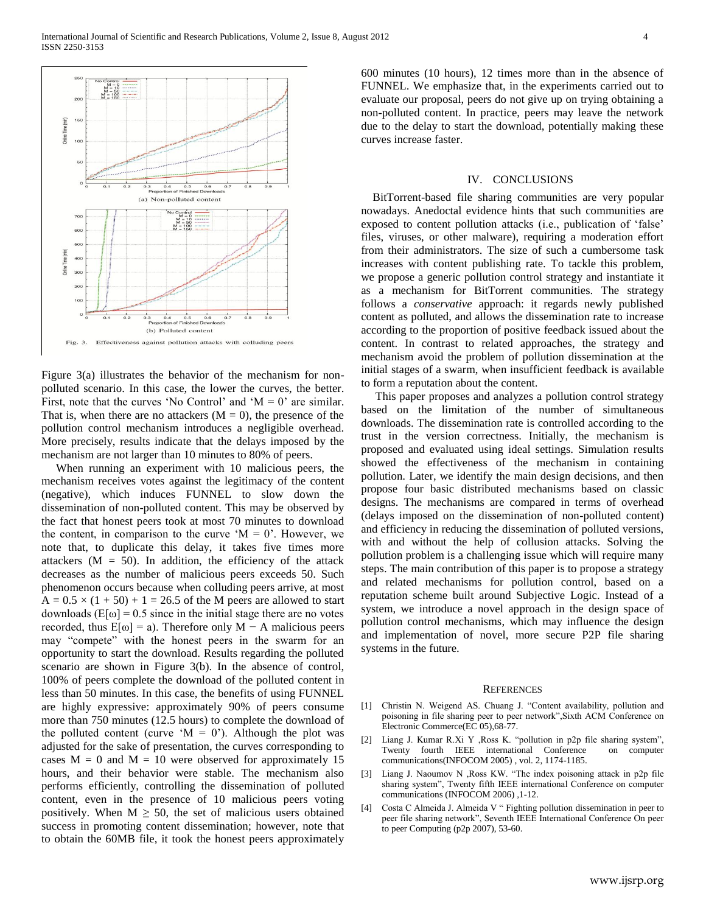

Figure 3(a) illustrates the behavior of the mechanism for nonpolluted scenario. In this case, the lower the curves, the better. First, note that the curves 'No Control' and ' $M = 0$ ' are similar. That is, when there are no attackers  $(M = 0)$ , the presence of the pollution control mechanism introduces a negligible overhead. More precisely, results indicate that the delays imposed by the mechanism are not larger than 10 minutes to 80% of peers.

 When running an experiment with 10 malicious peers, the mechanism receives votes against the legitimacy of the content (negative), which induces FUNNEL to slow down the dissemination of non-polluted content. This may be observed by the fact that honest peers took at most 70 minutes to download the content, in comparison to the curve ' $M = 0$ '. However, we note that, to duplicate this delay, it takes five times more attackers ( $M = 50$ ). In addition, the efficiency of the attack decreases as the number of malicious peers exceeds 50. Such phenomenon occurs because when colluding peers arrive, at most  $A = 0.5 \times (1 + 50) + 1 = 26.5$  of the M peers are allowed to start downloads ( $E[\omega] = 0.5$  since in the initial stage there are no votes recorded, thus  $E[\omega] = a$ ). Therefore only M − A malicious peers may "compete" with the honest peers in the swarm for an opportunity to start the download. Results regarding the polluted scenario are shown in Figure 3(b). In the absence of control, 100% of peers complete the download of the polluted content in less than 50 minutes. In this case, the benefits of using FUNNEL are highly expressive: approximately 90% of peers consume more than 750 minutes (12.5 hours) to complete the download of the polluted content (curve  $^{\circ}M = 0$ ). Although the plot was adjusted for the sake of presentation, the curves corresponding to cases  $M = 0$  and  $M = 10$  were observed for approximately 15 hours, and their behavior were stable. The mechanism also performs efficiently, controlling the dissemination of polluted content, even in the presence of 10 malicious peers voting positively. When  $M \geq 50$ , the set of malicious users obtained success in promoting content dissemination; however, note that to obtain the 60MB file, it took the honest peers approximately

600 minutes (10 hours), 12 times more than in the absence of FUNNEL. We emphasize that, in the experiments carried out to evaluate our proposal, peers do not give up on trying obtaining a non-polluted content. In practice, peers may leave the network due to the delay to start the download, potentially making these curves increase faster.

#### IV. CONCLUSIONS

 BitTorrent-based file sharing communities are very popular nowadays. Anedoctal evidence hints that such communities are exposed to content pollution attacks (i.e., publication of 'false' files, viruses, or other malware), requiring a moderation effort from their administrators. The size of such a cumbersome task increases with content publishing rate. To tackle this problem, we propose a generic pollution control strategy and instantiate it as a mechanism for BitTorrent communities. The strategy follows a *conservative* approach: it regards newly published content as polluted, and allows the dissemination rate to increase according to the proportion of positive feedback issued about the content. In contrast to related approaches, the strategy and mechanism avoid the problem of pollution dissemination at the initial stages of a swarm, when insufficient feedback is available to form a reputation about the content.

 This paper proposes and analyzes a pollution control strategy based on the limitation of the number of simultaneous downloads. The dissemination rate is controlled according to the trust in the version correctness. Initially, the mechanism is proposed and evaluated using ideal settings. Simulation results showed the effectiveness of the mechanism in containing pollution. Later, we identify the main design decisions, and then propose four basic distributed mechanisms based on classic designs. The mechanisms are compared in terms of overhead (delays imposed on the dissemination of non-polluted content) and efficiency in reducing the dissemination of polluted versions, with and without the help of collusion attacks. Solving the pollution problem is a challenging issue which will require many steps. The main contribution of this paper is to propose a strategy and related mechanisms for pollution control, based on a reputation scheme built around Subjective Logic. Instead of a system, we introduce a novel approach in the design space of pollution control mechanisms, which may influence the design and implementation of novel, more secure P2P file sharing systems in the future.

#### **REFERENCES**

- [1] Christin N. Weigend AS. Chuang J. "Content availability, pollution and poisoning in file sharing peer to peer network",Sixth ACM Conference on Electronic Commerce(EC 05),68-77.
- [2] Liang J. Kumar R.Xi Y ,Ross K. "pollution in p2p file sharing system", Twenty fourth IEEE international Conference on computer communications(INFOCOM 2005) , vol. 2, 1174-1185.
- [3] Liang J. Naoumov N ,Ross KW. "The index poisoning attack in p2p file sharing system", Twenty fifth IEEE international Conference on computer communications (INFOCOM 2006) ,1-12.
- [4] Costa C Almeida J. Almeida V " Fighting pollution dissemination in peer to peer file sharing network", Seventh IEEE International Conference On peer to peer Computing (p2p 2007), 53-60.